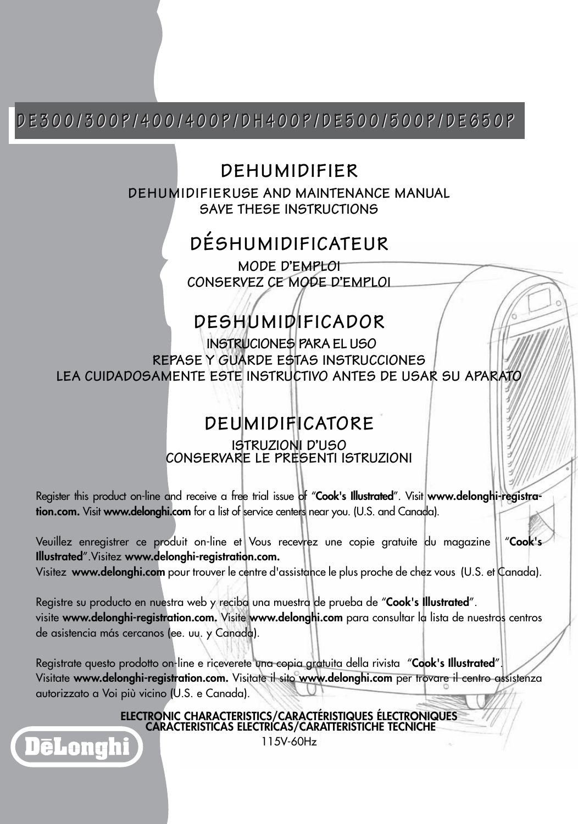#### **DE300/300P/400/400P/DH400P/DE500/500P/DE650P DE300/300P/400/400P/DH400P/DE500/500P/DE650P**

#### **DEHUMIDIFIER**

**DEHUMIDIFIERUSE AND MAINTENANCE MANUAL SAVE THESE INSTRUCTIONS**

### **DÉSHUMIDIFICATEUR**

**MODE D'EMPLOI CONSERVEZ CE MODE D'EMPLOI**

### **DESHUMIDIFICADOR**

**INSTRUCIONES PARA EL USO REPASE Y GUARDE ESTAS INSTRUCCIONES LEA CUIDADOSAMENTE ESTE INSTRUCTIVO ANTES DE USAR SU APARATO**

### **DEUMIDIFICATORE**

#### **ISTRUZIONI D'USO CONSERVARE LE PRESENTI ISTRUZIONI**

Register this product on-line and receive a free trial issue of "**Cook's Illustrated**". Visit **www.delonghi-registration.com.** Visit **www.delonghi.com** for a list of service centers near you. (U.S. and Canada).

Veuillez enregistrer ce produit on-line et Vous recevrez une copie gratuite du magazine "**Cook's Illustrated**".Visitez **www.delonghi-registration.com.**

Visitez **www.delonghi.com** pour trouver le centre d'assistance le plus proche de chez vous (U.S. et Canada).

Registre su producto en nuestra web y reciba una muestra de prueba de "**Cook's Illustrated**". visite **www.delonghi-registration.com.** Visite **www.delonghi.com** para consultar la lista de nuestros centros de asistencia más cercanos (ee. uu. y Canada).

Registrate questo prodotto on-line e riceverete una copia gratuita della rivista "**Cook's Illustrated**". Visitate **www.delonghi-registration.com.** Visitate il sito **www.delonghi.com** per trovare il centro assistenza autorizzato a Voi più vicino (U.S. e Canada).

**ELECTRONIC CHARACTERISTICS/CARACTÉRISTIQUES ÉLECTRONIQUES CARACTERISTICAS ELECTRICAS/CARATTERISTICHE TECNICHE**

115V-60Hz

DēLonghi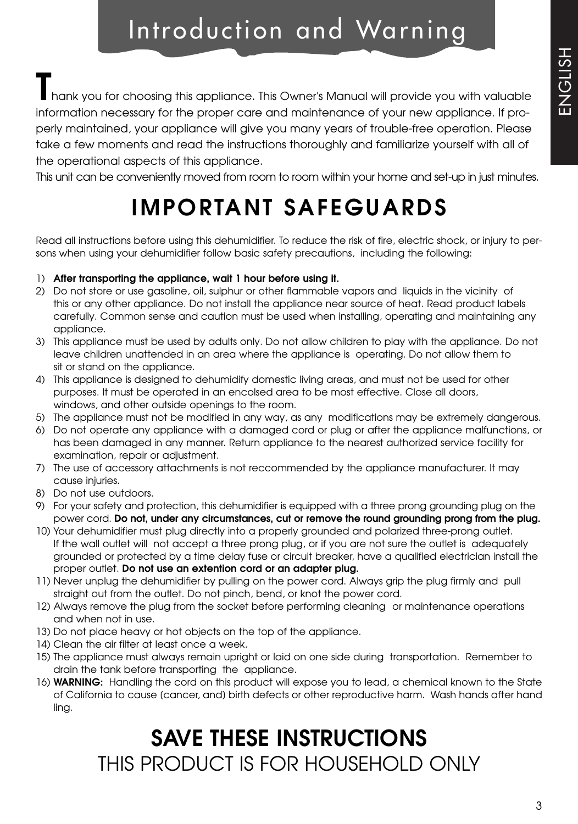### Introduction and Warning

**T**hank you for choosing this appliance. This Owner's Manual will provide you with valuable information necessary for the proper care and maintenance of your new appliance. If properly maintained, your appliance will give you many years of trouble-free operation. Please take a few moments and read the instructions thoroughly and familiarize yourself with all of the operational aspects of this appliance.

This unit can be conveniently moved from room to room within your home and set-up in just minutes.

### **IMPORTANT SAFEGUARDS**

Read all instructions before using this dehumidifier. To reduce the risk of fire, electric shock, or injury to persons when using your dehumidifier follow basic safety precautions, including the following:

#### 1) **After transporting the appliance, wait 1 hour before using it.**

- 2) Do not store or use gasoline, oil, sulphur or other flammable vapors and liquids in the vicinity of this or any other appliance. Do not install the appliance near source of heat. Read product labels carefully. Common sense and caution must be used when installing, operating and maintaining any appliance.
- 3) This appliance must be used by adults only. Do not allow children to play with the appliance. Do not leave children unattended in an area where the appliance is operating. Do not allow them to sit or stand on the appliance.
- 4) This appliance is designed to dehumidify domestic living areas, and must not be used for other purposes. It must be operated in an encolsed area to be most effective. Close all doors, windows, and other outside openings to the room.
- 5) The appliance must not be modified in any way, as any modifications may be extremely dangerous.
- 6) Do not operate any appliance with a damaged cord or plug or after the appliance malfunctions, or has been damaged in any manner. Return appliance to the nearest authorized service facility for examination, repair or adjustment.
- 7) The use of accessory attachments is not reccommended by the appliance manufacturer. It may cause injuries.
- 8) Do not use outdoors.
- 9) For your safety and protection, this dehumidifier is equipped with a three prong grounding plug on the power cord. **Do not, under any circumstances, cut or remove the round grounding prong from the plug.**
- 10) Your dehumidifier must plug directly into a properly grounded and polarized three-prong outlet. If the wall outlet will not accept a three prong plug, or if you are not sure the outlet is adequately grounded or protected by a time delay fuse or circuit breaker, have a qualified electrician install the proper outlet. **Do not use an extention cord or an adapter plug.**
- 11) Never unplug the dehumidifier by pulling on the power cord. Always grip the plug firmly and pull straight out from the outlet. Do not pinch, bend, or knot the power cord.
- 12) Always remove the plug from the socket before performing cleaning or maintenance operations and when not in use.
- 13) Do not place heavy or hot objects on the top of the appliance.
- 14) Clean the air filter at least once a week.
- 15) The appliance must always remain upright or laid on one side during transportation. Remember to drain the tank before transporting the appliance.
- 16) **WARNING:** Handling the cord on this product will expose you to lead, a chemical known to the State of California to cause (cancer, and) birth defects or other reproductive harm. Wash hands after hand ling.

### **SAVE THESE INSTRUCTIONS** THIS PRODUCT IS FOR HOUSEHOLD ONLY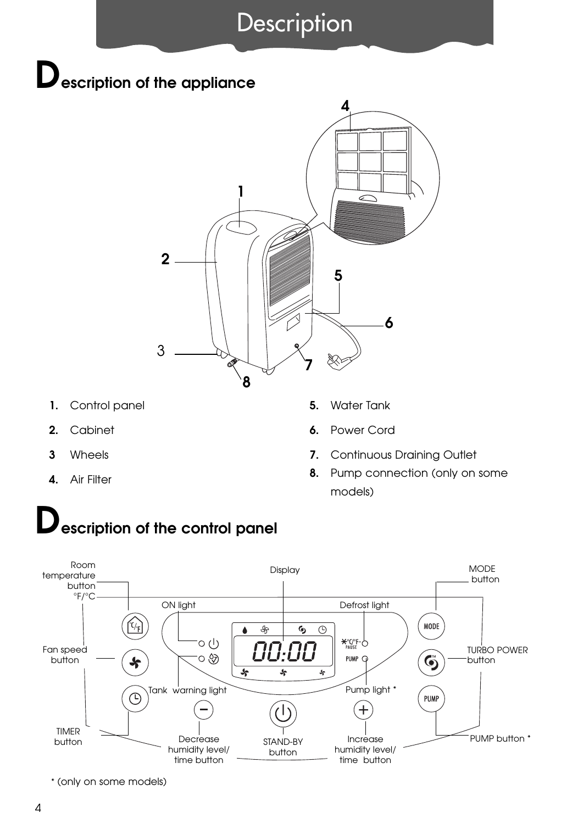### **Description**

## **Description of the appliance**



- **1.** Control panel
- **2.** Cabinet
- **3** Wheels
- **4.** Air Filter
- **5.** Water Tank
- **6.** Power Cord
- **7.** Continuous Draining Outlet
- **8.** Pump connection (only on some models)

# **Description of the control panel**



\* (only on some models)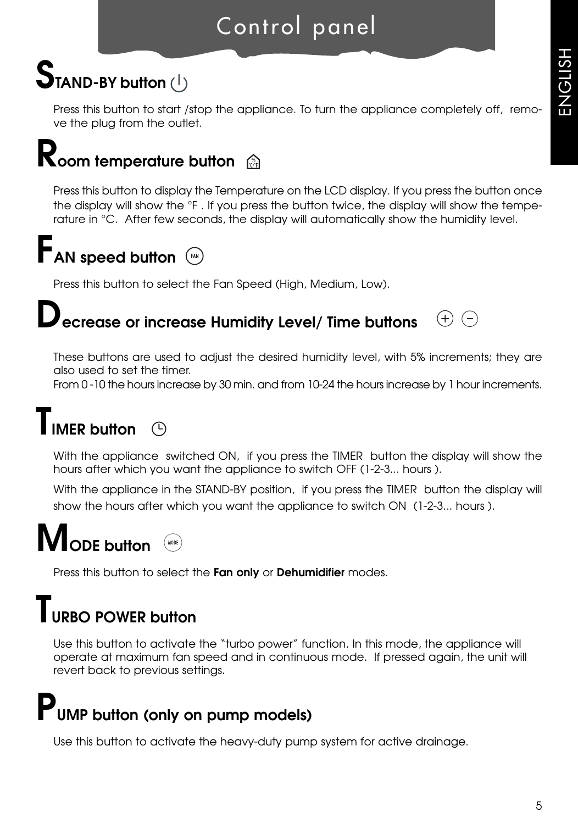### Control panel

## **STAND-BY button (1)**

Press this button to start /stop the appliance. To turn the appliance completely off, remove the plug from the outlet.

## **Room temperature button** a

Press this button to display the Temperature on the LCD display. If you press the button once the display will show the °F . If you press the button twice, the display will show the temperature in °C. After few seconds, the display will automatically show the humidity level.

# **FAN speed button**  $\binom{f(x)}{f(x)}$

Press this button to select the Fan Speed (High, Medium, Low).

#### **Decrease or increase Humidity Level/ Time buttons**  $(+)$   $(-)$

These buttons are used to adjust the desired humidity level, with 5% increments; they are also used to set the timer.

From 0 -10 the hours increase by 30 min. and from 10-24 the hours increase by 1 hour increments.

#### **TIMER button**  $\bigcirc$

With the appliance switched ON, if you press the TIMER button the display will show the hours after which you want the appliance to switch OFF (1-2-3... hours ).

With the appliance in the STAND-BY position, if you press the TIMER button the display will show the hours after which you want the appliance to switch ON (1-2-3... hours ).

# **MODE button**

Press this button to select the **Fan only** or **Dehumidifier** modes.

### **TURBO POWER button**

Use this button to activate the "turbo power" function. In this mode, the appliance will operate at maximum fan speed and in continuous mode. If pressed again, the unit will revert back to previous settings.

## **PUMP button (only on pump models)**

Use this button to activate the heavy-duty pump system for active drainage.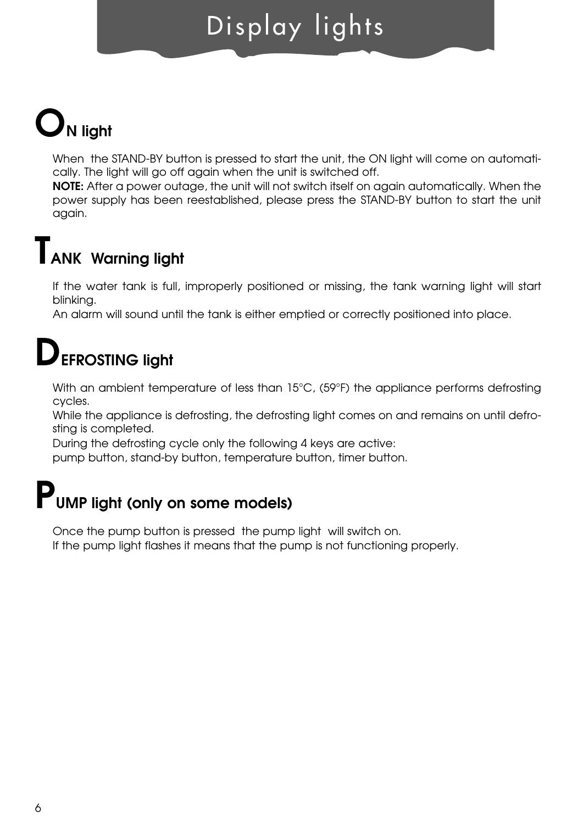## Display lights

# **ON light**

When the STAND-BY button is pressed to start the unit, the ON light will come on automatically. The light will go off again when the unit is switched off.

**NOTE:** After a power outage, the unit will not switch itself on again automatically. When the power supply has been reestablished, please press the STAND-BY button to start the unit again.

### **TANK Warning light**

If the water tank is full, improperly positioned or missing, the tank warning light will start blinking.

An alarm will sound until the tank is either emptied or correctly positioned into place.

## **DEFROSTING light**

With an ambient temperature of less than 15°C, (59°F) the appliance performs defrosting cycles.

While the appliance is defrosting, the defrosting light comes on and remains on until defrosting is completed.

During the defrosting cycle only the following 4 keys are active:

pump button, stand-by button, temperature button, timer button.

# **PUMP light (only on some models)**

Once the pump button is pressed the pump light will switch on. If the pump light flashes it means that the pump is not functioning properly.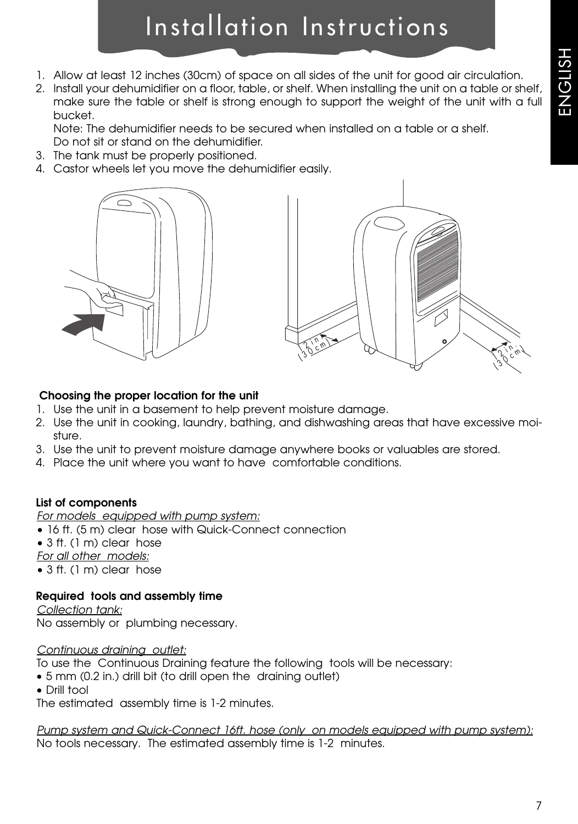### Installation Instructions

- 1. Allow at least 12 inches (30cm) of space on all sides of the unit for good air circulation.
- 2. Install your dehumidifier on a floor, table, or shelf. When installing the unit on a table or shelf, make sure the table or shelf is strong enough to support the weight of the unit with a full bucket.

Note: The dehumidifier needs to be secured when installed on a table or a shelf. Do not sit or stand on the dehumidifier.

- 3. The tank must be properly positioned.
- 4. Castor wheels let you move the dehumidifier easily.





#### **Choosing the proper location for the unit**

- 1. Use the unit in a basement to help prevent moisture damage.
- 2. Use the unit in cooking, laundry, bathing, and dishwashing areas that have excessive moisture.
- 3. Use the unit to prevent moisture damage anywhere books or valuables are stored.
- 4. Place the unit where you want to have comfortable conditions.

#### **List of components**

#### *For models equipped with pump system:*

- 16 ft. (5 m) clear hose with Quick-Connect connection
- 3 ft. (1 m) clear hose

*For all other models:*

• 3 ft. (1 m) clear hose

#### **Required tools and assembly time**

*Collection tank:*

No assembly or plumbing necessary.

#### *Continuous draining outlet:*

To use the Continuous Draining feature the following tools will be necessary:

- 5 mm (0.2 in.) drill bit (to drill open the draining outlet)
- Drill tool

The estimated assembly time is 1-2 minutes.

*Pump system and Quick-Connect 16ft. hose (only on models equipped with pump system):* No tools necessary. The estimated assembly time is 1-2 minutes.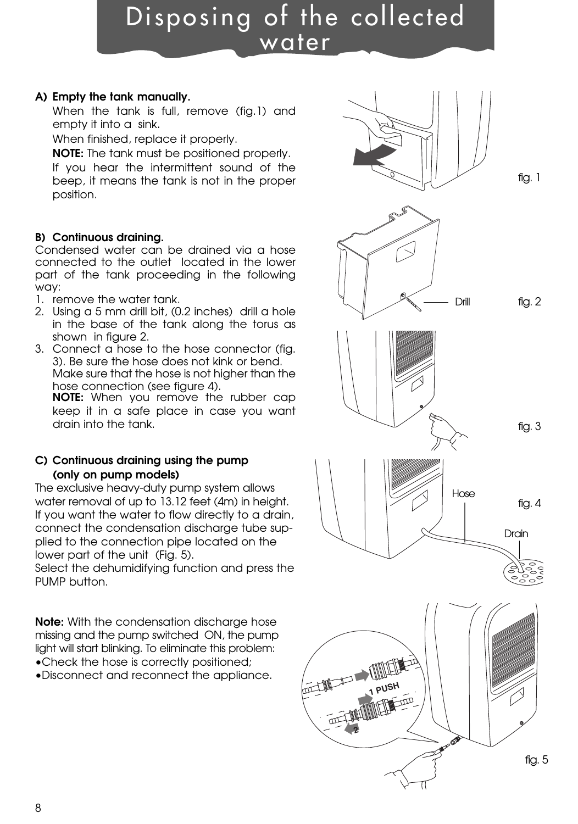### Disposing of the collected water

#### **A) Empty the tank manually.**

When the tank is full, remove (fig.1) and empty it into a sink.

When finished, replace it properly.

**NOTE:** The tank must be positioned properly. If you hear the intermittent sound of the beep, it means the tank is not in the proper position.

#### **B) Continuous draining.**

Condensed water can be drained via a hose connected to the outlet located in the lower part of the tank proceeding in the following way:

- 1. remove the water tank.
- 2. Using a 5 mm drill bit, (0.2 inches) drill a hole in the base of the tank along the torus as shown in figure 2.
- 3. Connect a hose to the hose connector (fig. 3). Be sure the hose does not kink or bend. Make sure that the hose is not higher than the hose connection (see figure 4).

**NOTE:** When you remove the rubber cap keep it in a safe place in case you want drain into the tank.

#### **C) Continuous draining using the pump (only on pump models)**

The exclusive heavy-duty pump system allows water removal of up to 13.12 feet (4m) in height. If you want the water to flow directly to a drain, connect the condensation discharge tube supplied to the connection pipe located on the lower part of the unit (Fig. 5).

Select the dehumidifying function and press the PUMP button.

**Note:** With the condensation discharge hose missing and the pump switched ON, the pump light will start blinking. To eliminate this problem: •Check the hose is correctly positioned;

•Disconnect and reconnect the appliance.

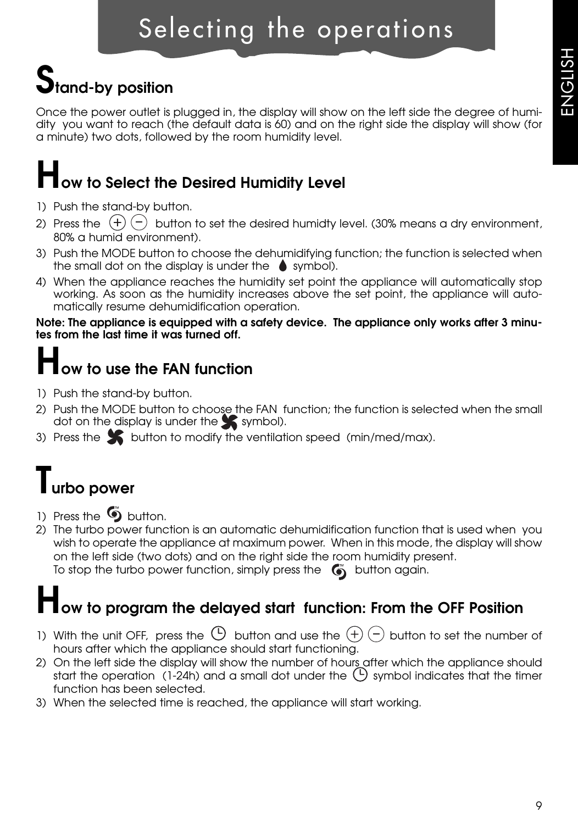# **Stand-by position**

Once the power outlet is plugged in, the display will show on the left side the degree of humidity you want to reach (the default data is 60) and on the right side the display will show (for a minute) two dots, followed by the room humidity level.

# **How to Select the Desired Humidity Level**

- 1) Push the stand-by button.
- 2) Press the  $(+)$  (-) button to set the desired humidty level. (30% means a dry environment, 80% a humid environment).
- 3) Push the MODE button to choose the dehumidifying function; the function is selected when the small dot on the display is under the  $\bullet$  symbol).
- 4) When the appliance reaches the humidity set point the appliance will automatically stop working. As soon as the humidity increases above the set point, the appliance will automatically resume dehumidification operation.

**Note: The appliance is equipped with a safety device. The appliance only works after 3 minutes from the last time it was turned off.**

## **How to use the FAN function**

- 1) Push the stand-by button.
- 2) Push the MODE button to choose the FAN function; the function is selected when the small dot on the display is under the  $\blacktriangleright$  symbol).
- 3) Press the  $\sum$  button to modify the ventilation speed (min/med/max).

## **Turbo power**

- 1) Press the  $\bullet$  button.
- 2) The turbo power function is an automatic dehumidification function that is used when you wish to operate the appliance at maximum power. When in this mode, the display will show on the left side (two dots) and on the right side the room humidity present. To stop the turbo power function, simply press the  $\bullet$  button again.

## **How to program the delayed start function: From the OFF Position**

- 1) With the unit OFF, press the  $\Theta$  button and use the  $(\pm)$   $(\pm)$  button to set the number of hours after which the appliance should start functioning.
- 2) On the left side the display will show the number of hours after which the appliance should start the operation (1-24h) and a small dot under the  $\bigcirc$  symbol indicates that the timer function has been selected.
- 3) When the selected time is reached, the appliance will start working.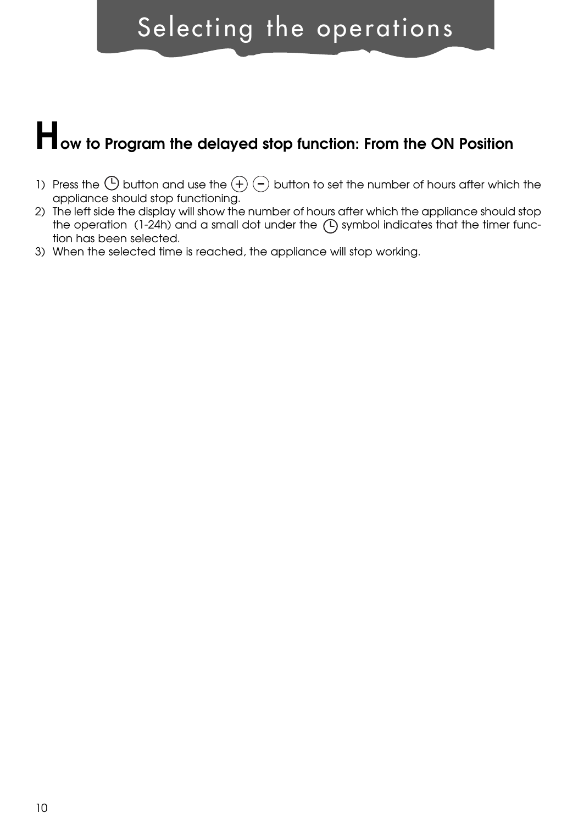### Selecting the operations

# **How to Program the delayed stop function: From the ON Position**

- 1) Press the  $\bigoplus$  button and use the  $\widehat{+}$   $\widehat{-}$  button to set the number of hours after which the appliance should stop functioning.
- 2) The left side the display will show the number of hours after which the appliance should stop the operation  $(1-24h)$  and a small dot under the  $(P)$  symbol indicates that the timer function has been selected.
- 3) When the selected time is reached, the appliance will stop working.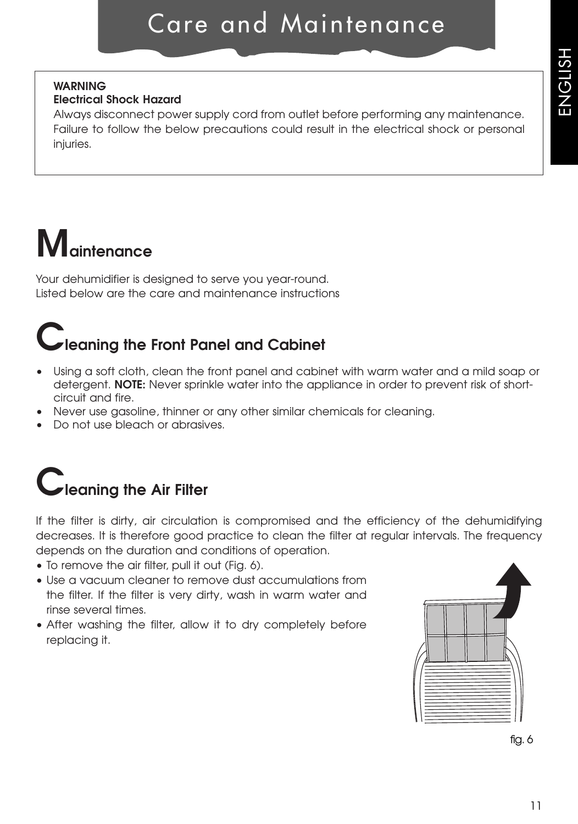### Care and Maintenance

#### **WARNING**

#### **Electrical Shock Hazard**

Always disconnect power supply cord from outlet before performing any maintenance. Failure to follow the below precautions could result in the electrical shock or personal injuries.

# **Maintenance**

Your dehumidifier is designed to serve you year-round. Listed below are the care and maintenance instructions

## **Cleaning the Front Panel and Cabinet**

- Using a soft cloth, clean the front panel and cabinet with warm water and a mild soap or detergent. **NOTE:** Never sprinkle water into the appliance in order to prevent risk of shortcircuit and fire.
- Never use gasoline, thinner or any other similar chemicals for cleaning.
- Do not use bleach or abrasives.

## **Cleaning the Air Filter**

If the filter is dirty, air circulation is compromised and the efficiency of the dehumidifying decreases. It is therefore good practice to clean the filter at regular intervals. The frequency depends on the duration and conditions of operation.

- To remove the air filter, pull it out (Fig. 6).
- Use a vacuum cleaner to remove dust accumulations from the filter. If the filter is very dirty, wash in warm water and rinse several times.
- After washing the filter, allow it to dry completely before replacing it.



fig. 6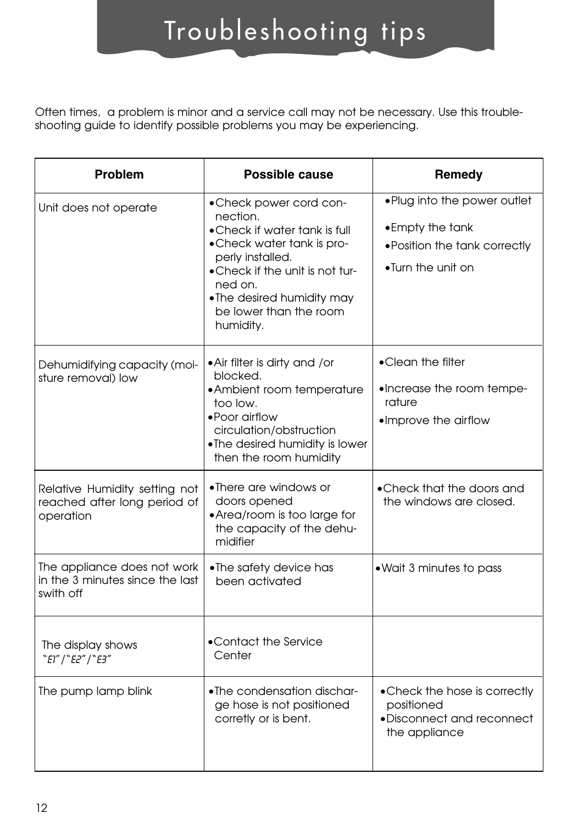## Troubleshooting tips

Often times, a problem is minor and a service call may not be necessary. Use this troubleshooting guide to identify possible problems you may be experiencing.

| Problem                                                                     | Possible cause                                                                                                                                                                                                                         | Remedy                                                                                                 |
|-----------------------------------------------------------------------------|----------------------------------------------------------------------------------------------------------------------------------------------------------------------------------------------------------------------------------------|--------------------------------------------------------------------------------------------------------|
| Unit does not operate                                                       | • Check power cord con-<br>nection.<br>• Check if water tank is full<br>.Check water tank is pro-<br>perly installed.<br>.Check if the unit is not tur-<br>ned on.<br>•The desired humidity may<br>be lower than the room<br>humidity. | . Plug into the power outlet<br>• Empty the tank<br>. Position the tank correctly<br>•Turn the unit on |
| Dehumidifying capacity (moi-<br>sture removal) low                          | • Air filter is dirty and / or<br>blocked.<br>• Ambient room temperature<br>too low.<br>• Poor airflow<br>circulation/obstruction<br>. The desired humidity is lower<br>then the room humidity                                         | •Clean the filter<br>•Increase the room tempe-<br>rature<br>·Improve the airflow                       |
| Relative Humidity setting not<br>reached after long period of<br>operation  | •There are windows or<br>doors opened<br>• Area/room is too large for<br>the capacity of the dehu-<br>midifier                                                                                                                         | • Check that the doors and<br>the windows are closed.                                                  |
| The appliance does not work<br>in the 3 minutes since the last<br>swith off | $\bullet$ The safety device has<br>been activated                                                                                                                                                                                      | . Wait 3 minutes to pass                                                                               |
| The display shows<br>"E1"   "E2"   "E3"                                     | •Contact the Service<br>Center                                                                                                                                                                                                         |                                                                                                        |
| The pump lamp blink                                                         | •The condensation dischar-<br>ge hose is not positioned<br>corretly or is bent.                                                                                                                                                        | • Check the hose is correctly<br>positioned<br>·Disconnect and reconnect<br>the appliance              |